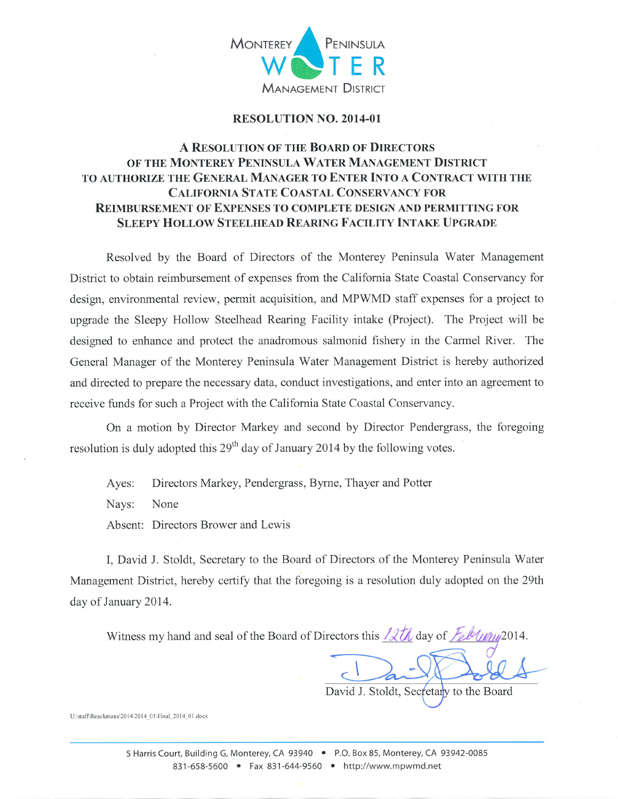

## RESOLUTION NO. 2OI4-01

## A RESOLUTION OF THE BOARD OF DIRECTORS OF THE MONTEREY PENINSULA WATER MANAGEMENT DISTRICT TO AUTHORIZE THE GENERAL MANAGER TO ENTER INTO A CONTRACT WITH THE CALIFORNIA STATE COASTAL CONSERVANCY FOR REIMBURSEMENT OF EXPENSES TO COMPLETE DESIGN AND PERMITTING FOR SLEEPY HOLLOW STEELHEAD REARING FACILITY INTAKE UPGRADE

Resolved by the Board of Directors of the Monterey Peninsula Water Management District to obtain reimbursement of expenses from the Califomia State Coastal Conservancy for design, environmental review, permit acquisition, and MPWMD staff expenses for a project to upgrade the Sleepy Hollow Steelhead Rearing Facility intake (Project). The Project will be designed to enhance and protect the anadromous salmonid fishery in the Carmel River. The General Manager of the Monterey Peninsula Water Management District is hereby authorized and directed to prepare the necessary data, conduct investigations, and enter into an agreement to receive funds for such a Project with the Califomia State Coastal Conservancy.

On a motion by Director Markey and second by Director Pendergrass, the foregoing resolution is duly adopted this  $29<sup>th</sup>$  day of January 2014 by the following votes.

Ayes: Directors Markey, Pendergrass, Byrne, Thayer and Potter

Nays: None

Absent: Directors Brower and Lewis

I, David J. Stoldt, Secretary to the Board of Directors of the Monterey Peninsula Water Management District, hereby certify that the foregoing is a resolution duly adopted on the 29th day of January 2014.

Witness my hand and seal of the Board of Directors this  $2th$  day of  $\frac{7}{6}$ blum 2014.

David J. Stoldt, Secretary to the Board

U:\stafAResolutions\20 I 4\20 1 4 0 1\Final 20 14 0 Ldocx